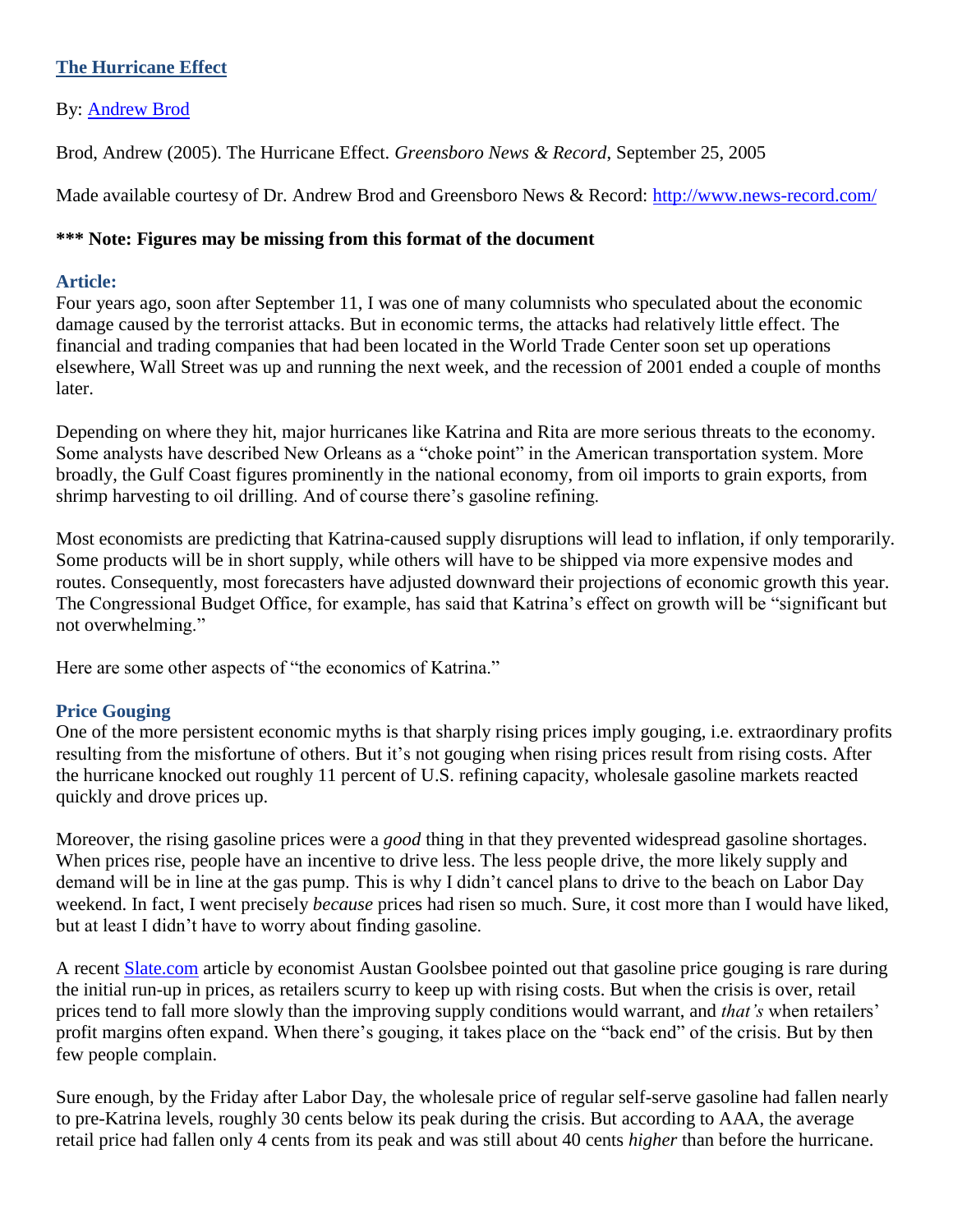# **The Hurricane Effect**

# By: [Andrew Brod](http://libres.uncg.edu/ir/uncg/clist.aspx?id=787)

Brod, Andrew (2005). The Hurricane Effect. *Greensboro News & Record*, September 25, 2005

Made available courtesy of Dr. Andrew Brod and Greensboro News & Record:<http://www.news-record.com/>

### **\*\*\* Note: Figures may be missing from this format of the document**

### **Article:**

Four years ago, soon after September 11, I was one of many columnists who speculated about the economic damage caused by the terrorist attacks. But in economic terms, the attacks had relatively little effect. The financial and trading companies that had been located in the World Trade Center soon set up operations elsewhere, Wall Street was up and running the next week, and the recession of 2001 ended a couple of months later.

Depending on where they hit, major hurricanes like Katrina and Rita are more serious threats to the economy. Some analysts have described New Orleans as a "choke point" in the American transportation system. More broadly, the Gulf Coast figures prominently in the national economy, from oil imports to grain exports, from shrimp harvesting to oil drilling. And of course there's gasoline refining.

Most economists are predicting that Katrina-caused supply disruptions will lead to inflation, if only temporarily. Some products will be in short supply, while others will have to be shipped via more expensive modes and routes. Consequently, most forecasters have adjusted downward their projections of economic growth this year. The Congressional Budget Office, for example, has said that Katrina's effect on growth will be "significant but not overwhelming."

Here are some other aspects of "the economics of Katrina."

## **Price Gouging**

One of the more persistent economic myths is that sharply rising prices imply gouging, i.e. extraordinary profits resulting from the misfortune of others. But it's not gouging when rising prices result from rising costs. After the hurricane knocked out roughly 11 percent of U.S. refining capacity, wholesale gasoline markets reacted quickly and drove prices up.

Moreover, the rising gasoline prices were a *good* thing in that they prevented widespread gasoline shortages. When prices rise, people have an incentive to drive less. The less people drive, the more likely supply and demand will be in line at the gas pump. This is why I didn't cancel plans to drive to the beach on Labor Day weekend. In fact, I went precisely *because* prices had risen so much. Sure, it cost more than I would have liked, but at least I didn't have to worry about finding gasoline.

A recent [Slate.com](http://slate.com/) article by economist Austan Goolsbee pointed out that gasoline price gouging is rare during the initial run-up in prices, as retailers scurry to keep up with rising costs. But when the crisis is over, retail prices tend to fall more slowly than the improving supply conditions would warrant, and *that's* when retailers' profit margins often expand. When there's gouging, it takes place on the "back end" of the crisis. But by then few people complain.

Sure enough, by the Friday after Labor Day, the wholesale price of regular self-serve gasoline had fallen nearly to pre-Katrina levels, roughly 30 cents below its peak during the crisis. But according to AAA, the average retail price had fallen only 4 cents from its peak and was still about 40 cents *higher* than before the hurricane.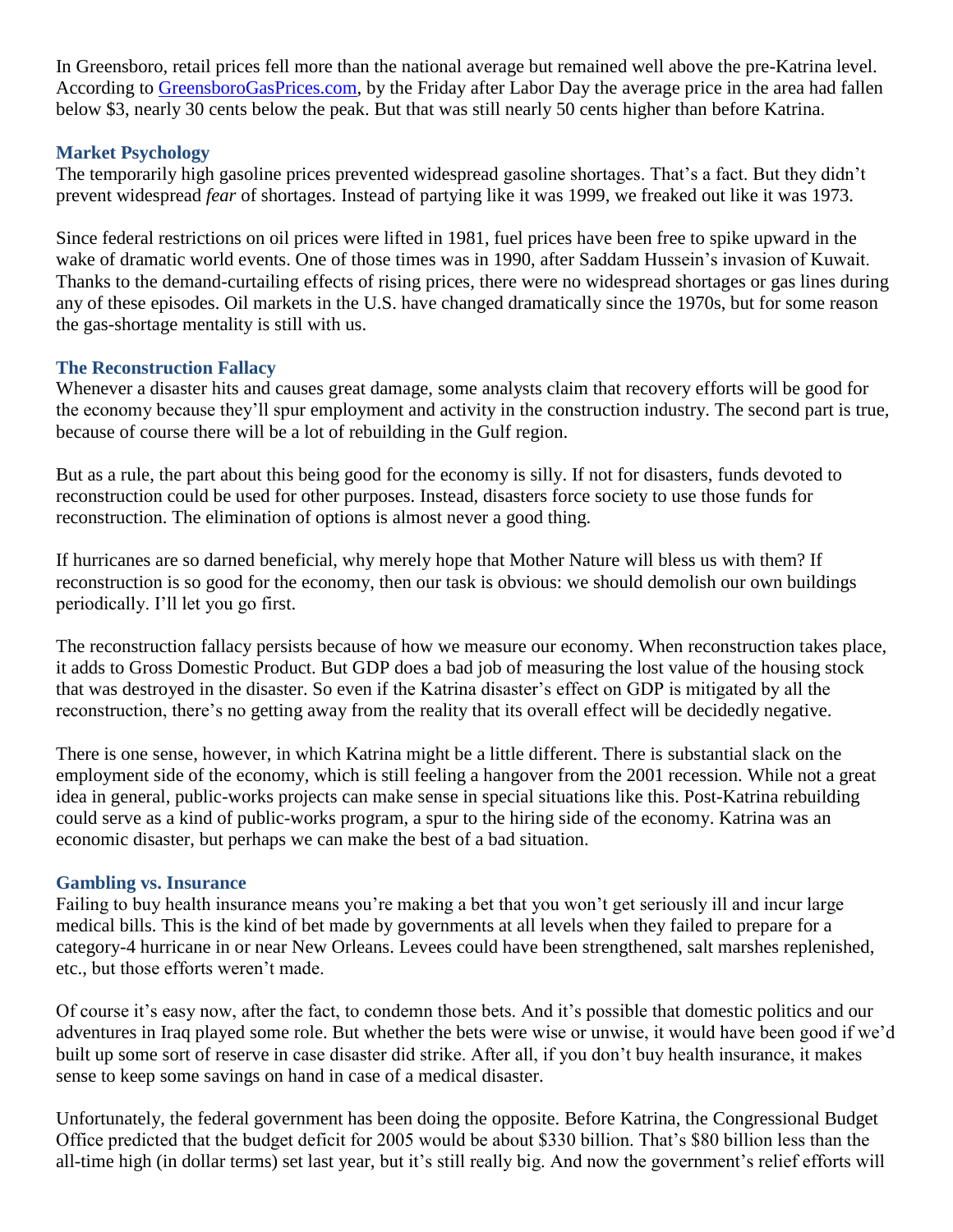In Greensboro, retail prices fell more than the national average but remained well above the pre-Katrina level. According to [GreensboroGasPrices.com,](http://greensborogasprices.com/) by the Friday after Labor Day the average price in the area had fallen below \$3, nearly 30 cents below the peak. But that was still nearly 50 cents higher than before Katrina.

## **Market Psychology**

The temporarily high gasoline prices prevented widespread gasoline shortages. That's a fact. But they didn't prevent widespread *fear* of shortages. Instead of partying like it was 1999, we freaked out like it was 1973.

Since federal restrictions on oil prices were lifted in 1981, fuel prices have been free to spike upward in the wake of dramatic world events. One of those times was in 1990, after Saddam Hussein's invasion of Kuwait. Thanks to the demand-curtailing effects of rising prices, there were no widespread shortages or gas lines during any of these episodes. Oil markets in the U.S. have changed dramatically since the 1970s, but for some reason the gas-shortage mentality is still with us.

#### **The Reconstruction Fallacy**

Whenever a disaster hits and causes great damage, some analysts claim that recovery efforts will be good for the economy because they'll spur employment and activity in the construction industry. The second part is true, because of course there will be a lot of rebuilding in the Gulf region.

But as a rule, the part about this being good for the economy is silly. If not for disasters, funds devoted to reconstruction could be used for other purposes. Instead, disasters force society to use those funds for reconstruction. The elimination of options is almost never a good thing.

If hurricanes are so darned beneficial, why merely hope that Mother Nature will bless us with them? If reconstruction is so good for the economy, then our task is obvious: we should demolish our own buildings periodically. I'll let you go first.

The reconstruction fallacy persists because of how we measure our economy. When reconstruction takes place, it adds to Gross Domestic Product. But GDP does a bad job of measuring the lost value of the housing stock that was destroyed in the disaster. So even if the Katrina disaster's effect on GDP is mitigated by all the reconstruction, there's no getting away from the reality that its overall effect will be decidedly negative.

There is one sense, however, in which Katrina might be a little different. There is substantial slack on the employment side of the economy, which is still feeling a hangover from the 2001 recession. While not a great idea in general, public-works projects can make sense in special situations like this. Post-Katrina rebuilding could serve as a kind of public-works program, a spur to the hiring side of the economy. Katrina was an economic disaster, but perhaps we can make the best of a bad situation.

## **Gambling vs. Insurance**

Failing to buy health insurance means you're making a bet that you won't get seriously ill and incur large medical bills. This is the kind of bet made by governments at all levels when they failed to prepare for a category-4 hurricane in or near New Orleans. Levees could have been strengthened, salt marshes replenished, etc., but those efforts weren't made.

Of course it's easy now, after the fact, to condemn those bets. And it's possible that domestic politics and our adventures in Iraq played some role. But whether the bets were wise or unwise, it would have been good if we'd built up some sort of reserve in case disaster did strike. After all, if you don't buy health insurance, it makes sense to keep some savings on hand in case of a medical disaster.

Unfortunately, the federal government has been doing the opposite. Before Katrina, the Congressional Budget Office predicted that the budget deficit for 2005 would be about \$330 billion. That's \$80 billion less than the all-time high (in dollar terms) set last year, but it's still really big. And now the government's relief efforts will